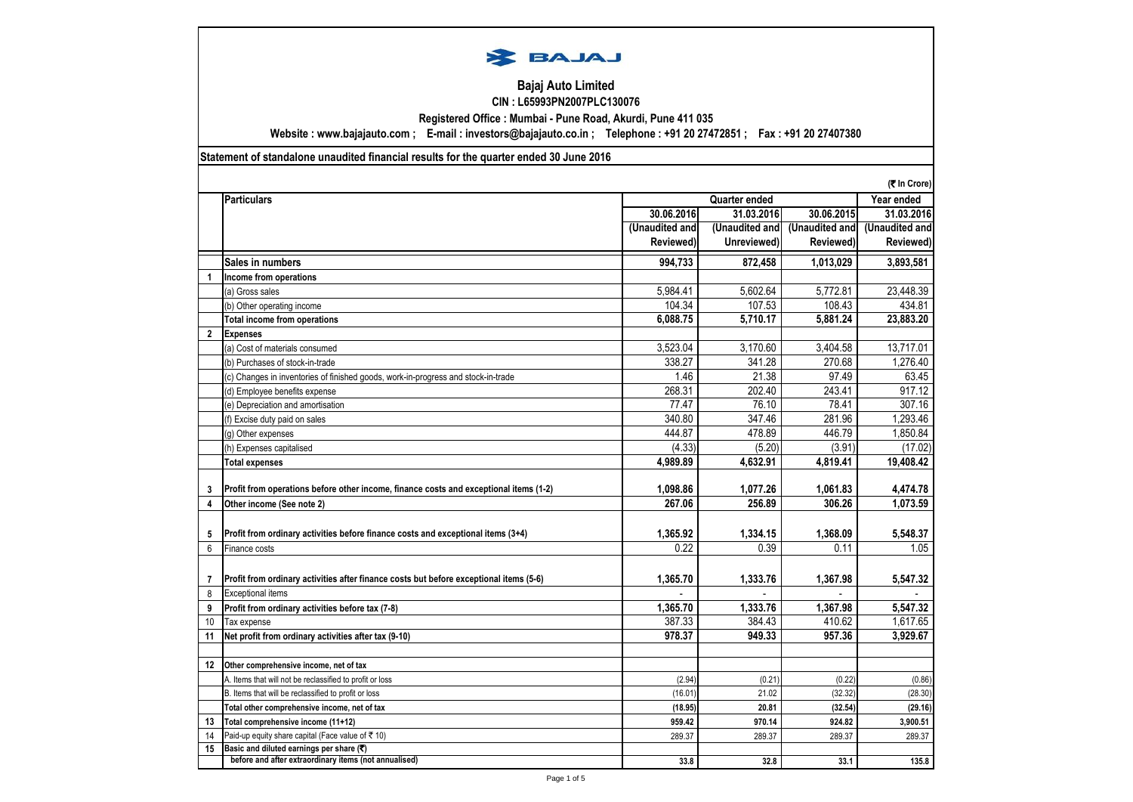

# **Bajaj Auto Limited CIN : L65993PN2007PLC130076**

**Registered Office : Mumbai - Pune Road, Akurdi, Pune 411 035**

**Website : www.bajajauto.com ; E-mail : investors@bajajauto.co.in ; Telephone : +91 20 27472851 ; Fax : +91 20 27407380**

#### **Statement of standalone unaudited financial results for the quarter ended 30 June 2016**

**2 Expenses**

**12 Other comprehensive income, net of tax**

15 **Basic and diluted earnings per share (₹)** 

|                 |                                                                                        |                |                      |                | (₹ In Crore)   |
|-----------------|----------------------------------------------------------------------------------------|----------------|----------------------|----------------|----------------|
|                 | <b>Particulars</b>                                                                     |                | <b>Quarter ended</b> |                | Year ended     |
|                 |                                                                                        | 30.06.2016     | 31.03.2016           | 30.06.2015     | 31.03.2016     |
|                 |                                                                                        | (Unaudited and | (Unaudited and       | (Unaudited and | (Unaudited and |
|                 |                                                                                        | Reviewed)      | Unreviewed)          | Reviewed)      | Reviewed)      |
|                 | Sales in numbers                                                                       | 994,733        | 872,458              | 1,013,029      | 3,893,581      |
| $\mathbf{1}$    | Income from operations                                                                 |                |                      |                |                |
|                 | (a) Gross sales                                                                        | 5,984.41       | 5,602.64             | 5,772.81       | 23,448.39      |
|                 | (b) Other operating income                                                             | 104.34         | 107.53               | 108.43         | 434.81         |
|                 | <b>Total income from operations</b>                                                    | 6,088.75       | 5,710.17             | 5.881.24       | 23,883.20      |
| $\mathbf{2}$    | <b>Expenses</b>                                                                        |                |                      |                |                |
|                 | (a) Cost of materials consumed                                                         | 3.523.04       | 3.170.60             | 3.404.58       | 13.717.01      |
|                 | (b) Purchases of stock-in-trade                                                        | 338.27         | 341.28               | 270.68         | 1,276.40       |
|                 | (c) Changes in inventories of finished goods, work-in-progress and stock-in-trade      | 1.46           | 21.38                | 97.49          | 63.45          |
|                 | (d) Employee benefits expense                                                          | 268.31         | 202.40               | 243.41         | 917.12         |
|                 | (e) Depreciation and amortisation                                                      | 77.47          | 76.10                | 78.41          | 307.16         |
|                 | (f) Excise duty paid on sales                                                          | 340.80         | 347.46               | 281.96         | 1,293.46       |
|                 | (g) Other expenses                                                                     | 444.87         | 478.89               | 446.79         | 1,850.84       |
|                 | (h) Expenses capitalised                                                               | (4.33)         | (5.20)               | (3.91)         | (17.02)        |
|                 | <b>Total expenses</b>                                                                  | 4,989.89       | 4,632.91             | 4,819.41       | 19,408.42      |
|                 |                                                                                        |                |                      |                |                |
| 3               | Profit from operations before other income, finance costs and exceptional items (1-2)  | 1,098.86       | 1,077.26             | 1,061.83       | 4,474.78       |
|                 | Other income (See note 2)                                                              | 267.06         | 256.89               | 306.26         | 1,073.59       |
|                 |                                                                                        |                |                      |                |                |
| 5               | Profit from ordinary activities before finance costs and exceptional items (3+4)       | 1,365.92       | 1,334.15             | 1,368.09       | 5,548.37       |
| $6\phantom{1}6$ | Finance costs                                                                          | 0.22           | 0.39                 | 0.11           | 1.05           |
|                 |                                                                                        |                |                      |                |                |
| 7               | Profit from ordinary activities after finance costs but before exceptional items (5-6) | 1,365.70       | 1,333.76             | 1,367.98       | 5,547.32       |
| 8               | <b>Exceptional items</b>                                                               |                |                      |                |                |
| 9               | Profit from ordinary activities before tax (7-8)                                       | 1,365.70       | 1,333.76             | 1,367.98       | 5,547.32       |
| 10              | Tax expense                                                                            | 387.33         | 384.43               | 410.62         | 1,617.65       |
| 11              | Net profit from ordinary activities after tax (9-10)                                   | 978.37         | 949.33               | 957.36         | 3,929.67       |
|                 |                                                                                        |                |                      |                |                |

 **before and after extraordinary items (not annualised) 33.8 32.8 33.1 135.8**

A. Items that will not be reclassified to profit or loss (0.86) (0.86) (0.21) (0.22) (0.86) B. Items that will be reclassified to profit or loss  $(16.01)$   $21.02$   $(32.32)$   $(28.30)$   $(28.30)$ **Total other comprehensive income, net of tax (18.95) 20.81 (32.54) (29.16) 13 Total comprehensive income (11+12) 959.42 970.14 924.82 3,900.51** 14 Paid-up equity share capital (Face value of ₹ 10) 289.37 289.37 289.37 289.37 289.37 289.37 289.37 289.37 289.37 289.37 289.37 289.37 289.37 289.37 289.37 289.37 289.37 289.37 289.37 289.37 289.37 289.37 289.37 289.37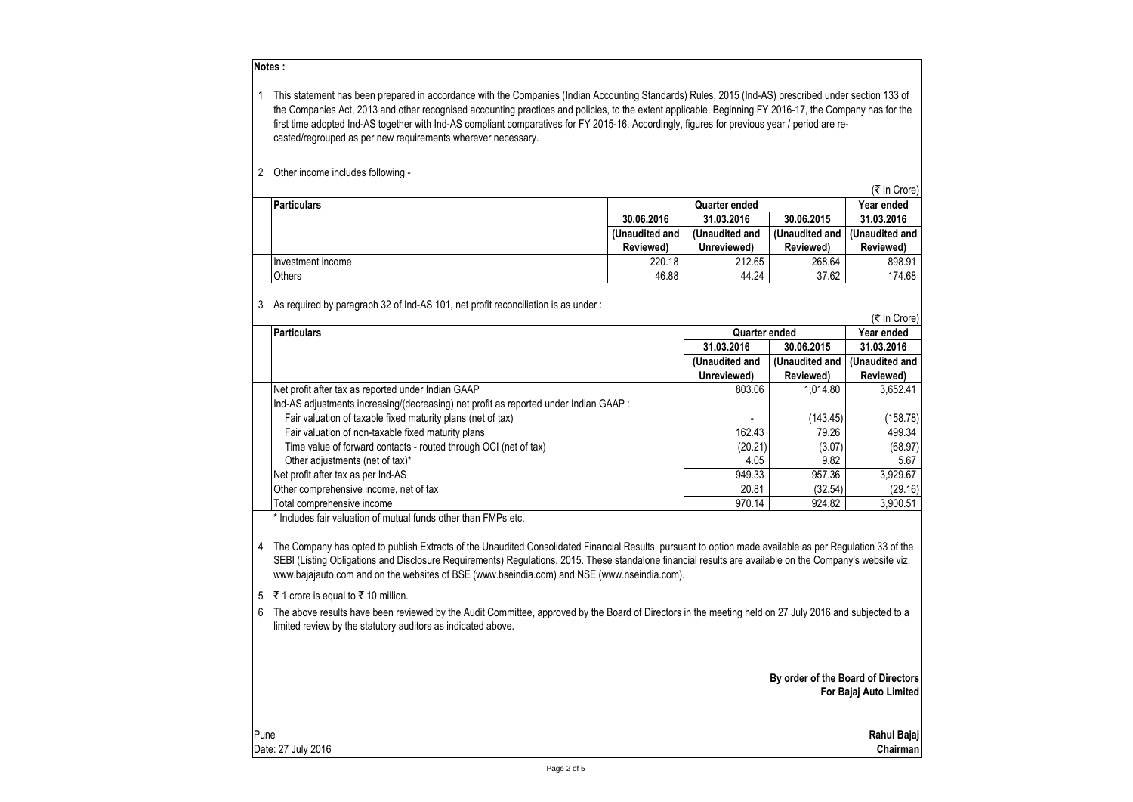#### **Notes :**

1 This statement has been prepared in accordance with the Companies (Indian Accounting Standards) Rules, 2015 (Ind-AS) prescribed under section 133 of the Companies Act, 2013 and other recognised accounting practices and policies, to the extent applicable. Beginning FY 2016-17, the Company has for the first time adopted Ind-AS together with Ind-AS compliant comparatives for FY 2015-16. Accordingly, figures for previous year / period are recasted/regrouped as per new requirements wherever necessary.

2 Other income includes following -

(₹ In Crore) **Particulars Year ended 30.06.2016 31.03.2016 30.06.2015 31.03.2016 (Unaudited and Reviewed) (Unaudited and Unreviewed) (Unaudited and Reviewed) (Unaudited and Reviewed)** Investment income 220.18 | 212.65 | 268.64 | 898.91 Others 46.88 44.24 37.62 174.68 **Quarter ended**

3 As required by paragraph 32 of Ind-AS 101, net profit reconciliation is as under :

|                    | (₹ In Crore)                                                                          |                |                |                |  |
|--------------------|---------------------------------------------------------------------------------------|----------------|----------------|----------------|--|
| <b>Particulars</b> |                                                                                       | Quarter ended  |                | Year ended     |  |
|                    |                                                                                       | 31.03.2016     | 30.06.2015     | 31.03.2016     |  |
|                    |                                                                                       | (Unaudited and | (Unaudited and | (Unaudited and |  |
|                    |                                                                                       | Unreviewed)    | Reviewed)      | Reviewed)      |  |
|                    | Net profit after tax as reported under Indian GAAP                                    | 803.06         | 1.014.80       | 3,652.41       |  |
|                    | Ind-AS adjustments increasing/(decreasing) net profit as reported under Indian GAAP : |                |                |                |  |
|                    | Fair valuation of taxable fixed maturity plans (net of tax)                           |                | (143.45)       | (158.78)       |  |
|                    | Fair valuation of non-taxable fixed maturity plans                                    | 162.43         | 79.26          | 499.34         |  |
|                    | Time value of forward contacts - routed through OCI (net of tax)                      | (20.21)        | (3.07)         | (68.97)        |  |
|                    | Other adjustments (net of tax)*                                                       | 4.05           | 9.82           | 5.67           |  |
|                    | Net profit after tax as per Ind-AS                                                    | 949.33         | 957.36         | 3,929.67       |  |
|                    | Other comprehensive income, net of tax                                                | 20.81          | (32.54)        | (29.16)        |  |
|                    | Total comprehensive income                                                            | 970.14         | 924.82         | 3,900.51       |  |

\* Includes fair valuation of mutual funds other than FMPs etc.

4 The Company has opted to publish Extracts of the Unaudited Consolidated Financial Results, pursuant to option made available as per Regulation 33 of the SEBI (Listing Obligations and Disclosure Requirements) Regulations, 2015. These standalone financial results are available on the Company's website viz. www.bajajauto.com and on the websites of BSE (www.bseindia.com) and NSE (www.nseindia.com).

5 ₹1 crore is equal to ₹10 million.

6 The above results have been reviewed by the Audit Committee, approved by the Board of Directors in the meeting held on 27 July 2016 and subjected to a limited review by the statutory auditors as indicated above.

> **By order of the Board of Directors For Bajaj Auto Limited**

Pune **Rahul Bajaj** Date: 27 July 2016 **Chairman**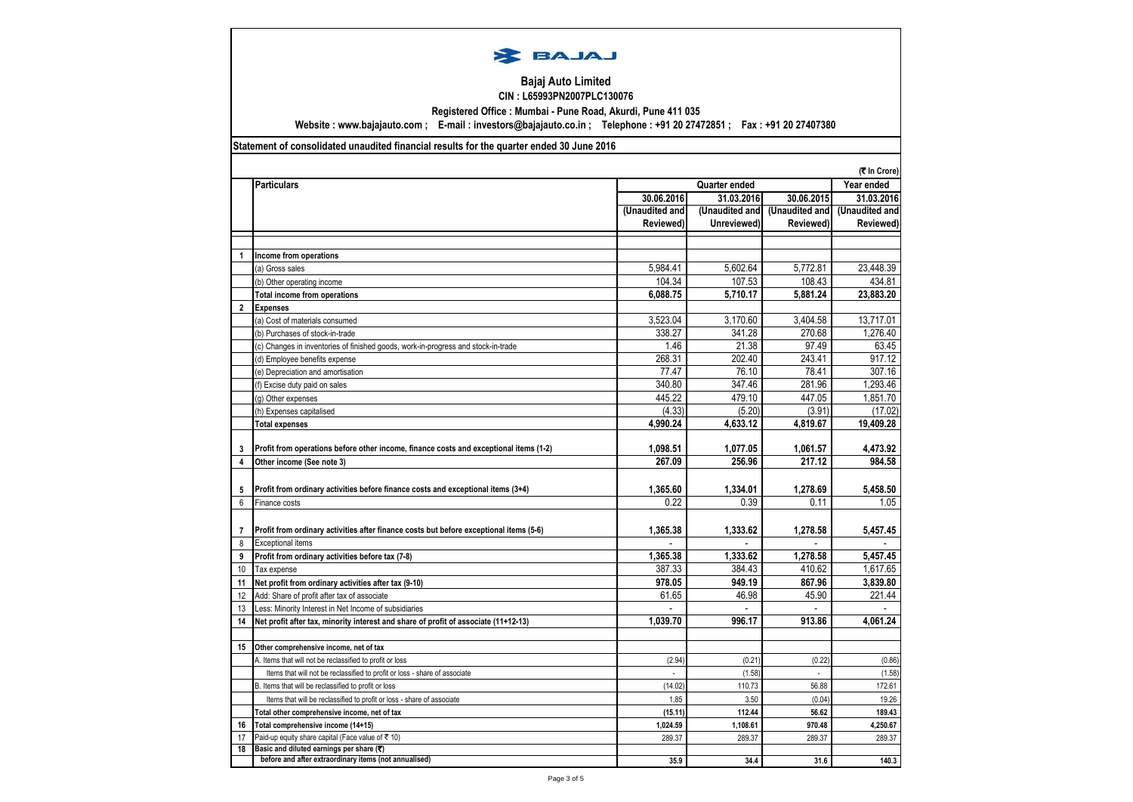

### **Bajaj Auto Limited CIN : L65993PN2007PLC130076**

**Registered Office : Mumbai - Pune Road, Akurdi, Pune 411 035**

**Website : www.bajajauto.com ; E-mail : investors@bajajauto.co.in ; Telephone : +91 20 27472851 ; Fax : +91 20 27407380**

## **Statement of consolidated unaudited financial results for the quarter ended 30 June 2016**

**(**` **In Crore)**

|                | (र in Crore)                                                                                      |                |                |                |                |
|----------------|---------------------------------------------------------------------------------------------------|----------------|----------------|----------------|----------------|
|                | <b>Particulars</b><br>Quarter ended                                                               |                |                | Year ended     |                |
|                |                                                                                                   | 30.06.2016     | 31.03.2016     | 30.06.2015     | 31.03.2016     |
|                |                                                                                                   | (Unaudited and | (Unaudited and | (Unaudited and | (Unaudited and |
|                |                                                                                                   | Reviewed)      | Unreviewed)    | Reviewed)      | Reviewed)      |
|                |                                                                                                   |                |                |                |                |
| 1              | Income from operations                                                                            |                |                |                |                |
|                | (a) Gross sales                                                                                   | 5.984.41       | 5.602.64       | 5.772.81       | 23,448.39      |
|                | (b) Other operating income                                                                        | 104.34         | 107.53         | 108.43         | 434.81         |
|                | <b>Total income from operations</b>                                                               | 6,088.75       | 5,710.17       | 5,881.24       | 23,883.20      |
| $\overline{2}$ | <b>Expenses</b>                                                                                   |                |                |                |                |
|                | (a) Cost of materials consumed                                                                    | 3,523.04       | 3.170.60       | 3.404.58       | 13,717.01      |
|                | (b) Purchases of stock-in-trade                                                                   | 338.27         | 341.28         | 270.68         | 1.276.40       |
|                | (c) Changes in inventories of finished goods, work-in-progress and stock-in-trade                 | 1.46           | 21.38          | 97.49          | 63.45          |
|                | (d) Employee benefits expense                                                                     | 268.31         | 202.40         | 243.41         | 917.12         |
|                | (e) Depreciation and amortisation                                                                 | 77.47          | 76.10          | 78.41          | 307.16         |
|                | (f) Excise duty paid on sales                                                                     | 340.80         | 347.46         | 281.96         | 1.293.46       |
|                | (g) Other expenses                                                                                | 445.22         | 479.10         | 447.05         | 1.851.70       |
|                | (h) Expenses capitalised                                                                          | (4.33)         | (5.20)         | (3.91)         | (17.02)        |
|                | <b>Total expenses</b>                                                                             | 4,990.24       | 4,633.12       | 4,819.67       | 19,409.28      |
|                |                                                                                                   |                |                |                |                |
| 3              | Profit from operations before other income, finance costs and exceptional items (1-2)             | 1.098.51       | 1,077.05       | 1.061.57       | 4,473.92       |
| 4              | Other income (See note 3)                                                                         | 267.09         | 256.96         | 217.12         | 984.58         |
|                |                                                                                                   |                |                |                |                |
| 5              | Profit from ordinary activities before finance costs and exceptional items (3+4)                  | 1,365.60       | 1,334.01       | 1,278.69       | 5,458.50       |
| 6              | Finance costs                                                                                     | 0.22           | 0.39           | 0.11           | 1.05           |
|                |                                                                                                   |                |                |                |                |
| $\overline{7}$ | Profit from ordinary activities after finance costs but before exceptional items (5-6)            | 1,365.38       | 1,333.62       | 1,278.58       | 5,457.45       |
| 8              | <b>Exceptional items</b>                                                                          |                | $\mathbf{r}$   |                |                |
| 9              | Profit from ordinary activities before tax (7-8)                                                  | 1,365.38       | 1,333.62       | 1,278.58       | 5,457.45       |
| 10             | Tax expense                                                                                       | 387.33         | 384.43         | 410.62         | 1.617.65       |
| 11             | Net profit from ordinary activities after tax (9-10)                                              | 978.05         | 949.19         | 867.96         | 3.839.80       |
| 12             | Add: Share of profit after tax of associate                                                       | 61.65          | 46.98          | 45.90          | 221.44         |
| 13             | Less: Minority Interest in Net Income of subsidiaries                                             |                |                |                |                |
| 14             | Net profit after tax, minority interest and share of profit of associate (11+12-13)               | 1,039.70       | 996.17         | 913.86         | 4,061.24       |
|                |                                                                                                   |                |                |                |                |
| 15             | Other comprehensive income, net of tax                                                            |                |                |                |                |
|                | A. Items that will not be reclassified to profit or loss                                          | (2.94)         | (0.21)         | (0.22)         | (0.86)         |
|                | Items that will not be reclassified to profit or loss - share of associate                        |                | (1.58)         | $\mathcal{L}$  | (1.58)         |
|                | B. Items that will be reclassified to profit or loss                                              |                | 110.73         | 56.88          | 172.61         |
|                |                                                                                                   | (14.02)        |                |                |                |
|                | Items that will be reclassified to profit or loss - share of associate                            | 1.85           | 3.50           | (0.04)         | 19.26          |
|                | Total other comprehensive income, net of tax                                                      | (15.11)        | 112.44         | 56.62          | 189.43         |
| 16             | Total comprehensive income (14+15)                                                                | 1,024.59       | 1,108.61       | 970.48         | 4,250.67       |
| 17             | Paid-up equity share capital (Face value of ₹ 10)                                                 | 289.37         | 289.37         | 289.37         | 289.37         |
| 18             | Basic and diluted earnings per share (₹)<br>before and after extraordinary items (not annualised) |                | 34.4           | 31.6           | 140.3          |
|                |                                                                                                   | 35.9           |                |                |                |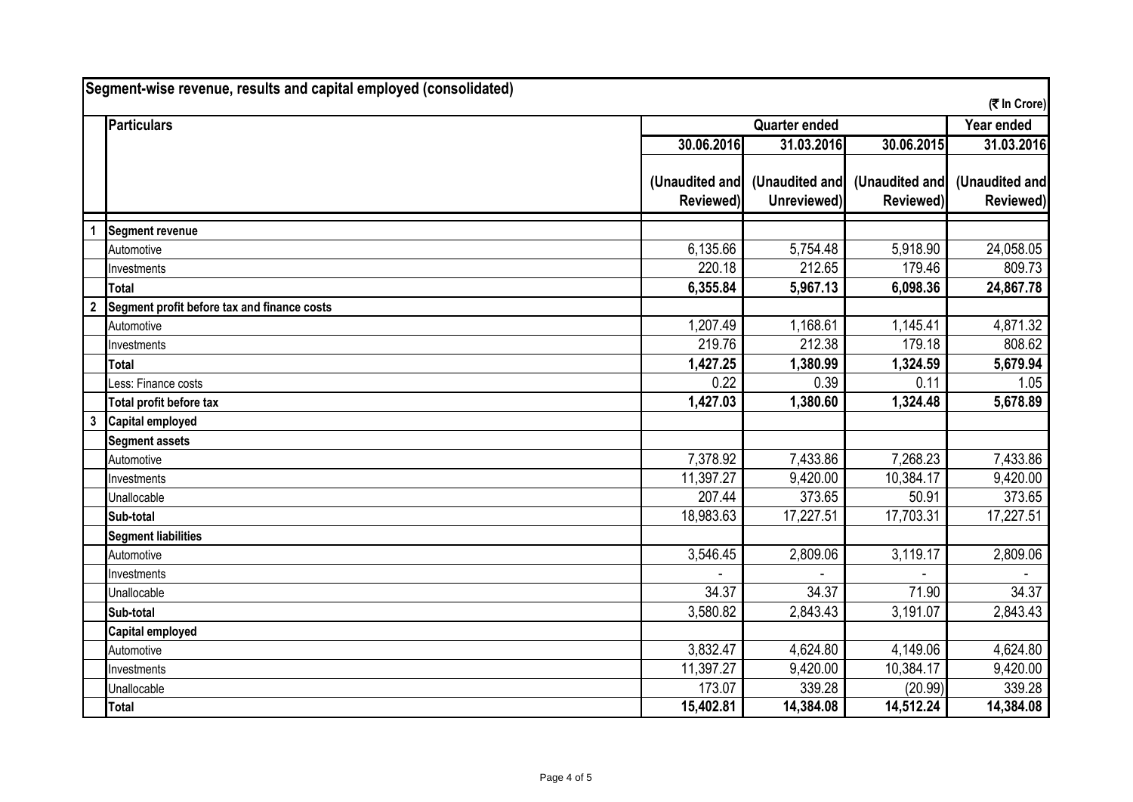|   | Segment-wise revenue, results and capital employed (consolidated) |                                    |                |                |                |
|---|-------------------------------------------------------------------|------------------------------------|----------------|----------------|----------------|
|   |                                                                   |                                    |                |                | (₹ In Crore)   |
|   | Particulars                                                       | <b>Quarter ended</b><br>Year ended |                |                |                |
|   |                                                                   | 30.06.2016                         | 31.03.2016     | 30.06.2015     | 31.03.2016     |
|   |                                                                   |                                    |                |                |                |
|   |                                                                   | (Unaudited and                     | (Unaudited and | (Unaudited and | (Unaudited and |
|   |                                                                   | Reviewed)                          | Unreviewed)    | Reviewed)      | Reviewed)      |
|   | <b>Segment revenue</b>                                            |                                    |                |                |                |
|   | Automotive                                                        | 6,135.66                           | 5,754.48       | 5,918.90       | 24,058.05      |
|   | Investments                                                       | 220.18                             | 212.65         | 179.46         | 809.73         |
|   | <b>Total</b>                                                      | 6,355.84                           | 5,967.13       | 6,098.36       | 24,867.78      |
|   | Segment profit before tax and finance costs                       |                                    |                |                |                |
|   | Automotive                                                        | 1,207.49                           | 1,168.61       | 1,145.41       | 4,871.32       |
|   | Investments                                                       | 219.76                             | 212.38         | 179.18         | 808.62         |
|   | Total                                                             | 1,427.25                           | 1,380.99       | 1,324.59       | 5,679.94       |
|   | Less: Finance costs                                               | 0.22                               | 0.39           | 0.11           | 1.05           |
|   | Total profit before tax                                           | 1,427.03                           | 1,380.60       | 1,324.48       | 5,678.89       |
| 3 | Capital employed                                                  |                                    |                |                |                |
|   | <b>Segment assets</b>                                             |                                    |                |                |                |
|   | Automotive                                                        | 7,378.92                           | 7,433.86       | 7,268.23       | 7,433.86       |
|   | Investments                                                       | 11,397.27                          | 9,420.00       | 10,384.17      | 9,420.00       |
|   | Unallocable                                                       | 207.44                             | 373.65         | 50.91          | 373.65         |
|   | Sub-total                                                         | 18,983.63                          | 17,227.51      | 17,703.31      | 17,227.51      |
|   | <b>Segment liabilities</b>                                        |                                    |                |                |                |
|   | Automotive                                                        | 3,546.45                           | 2,809.06       | 3,119.17       | 2,809.06       |
|   | Investments                                                       |                                    |                |                |                |
|   | Unallocable                                                       | 34.37                              | 34.37          | 71.90          | 34.37          |
|   | Sub-total                                                         | 3,580.82                           | 2,843.43       | 3,191.07       | 2,843.43       |
|   | <b>Capital employed</b>                                           |                                    |                |                |                |
|   | Automotive                                                        | 3,832.47                           | 4,624.80       | 4,149.06       | 4,624.80       |
|   | Investments                                                       | 11,397.27                          | 9,420.00       | 10,384.17      | 9,420.00       |
|   | Unallocable                                                       | 173.07                             | 339.28         | (20.99)        | 339.28         |
|   | Total                                                             | 15,402.81                          | 14,384.08      | 14,512.24      | 14,384.08      |